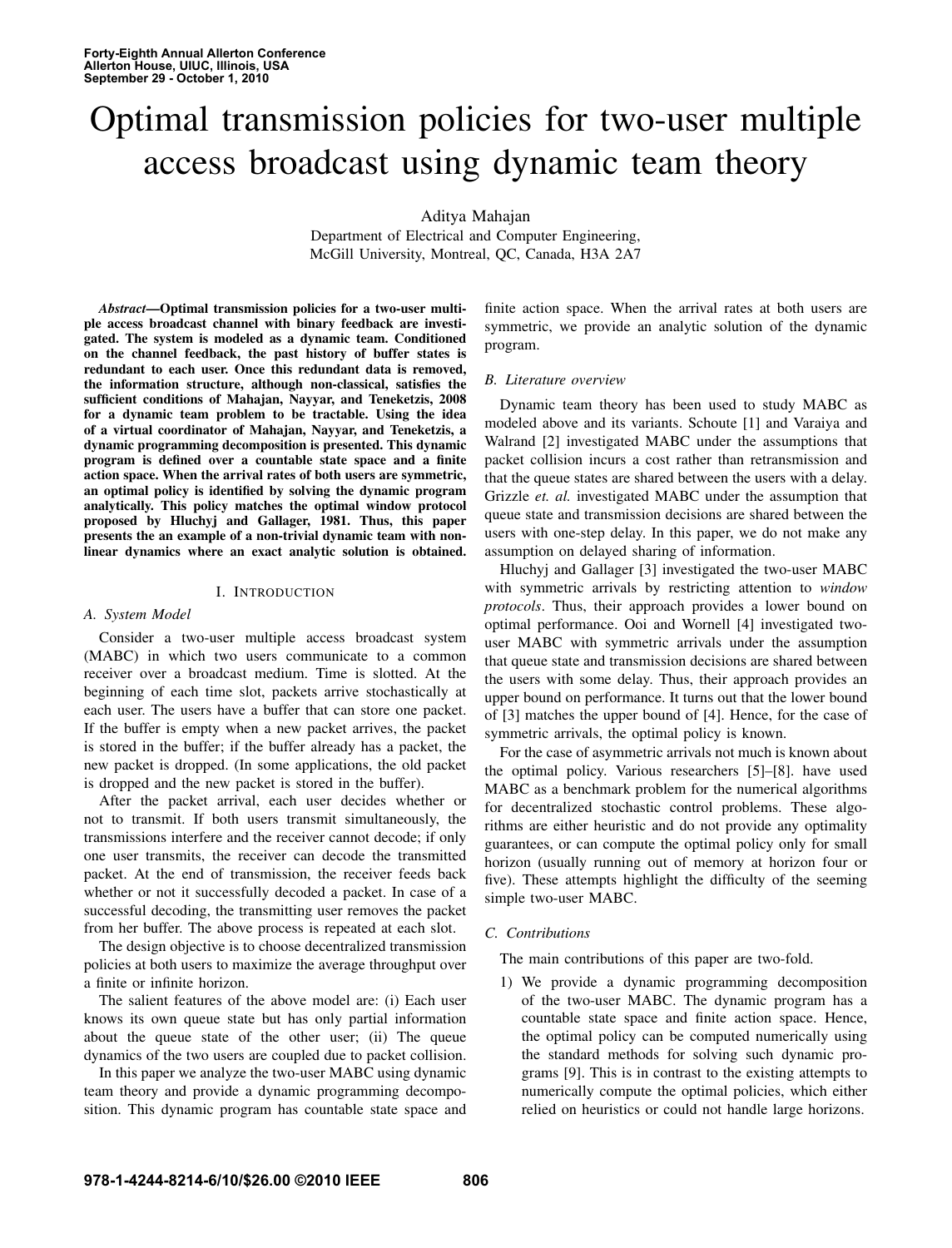# Optimal transmission policies for two-user multiple access broadcast using dynamic team theory

Aditya Mahajan

Department of Electrical and Computer Engineering, McGill University, Montreal, QC, Canada, H3A 2A7

*Abstract*—Optimal transmission policies for a two-user multiple access broadcast channel with binary feedback are investigated. The system is modeled as a dynamic team. Conditioned on the channel feedback, the past history of buffer states is redundant to each user. Once this redundant data is removed, the information structure, although non-classical, satisfies the sufficient conditions of Mahajan, Nayyar, and Teneketzis, 2008 for a dynamic team problem to be tractable. Using the idea of a virtual coordinator of Mahajan, Nayyar, and Teneketzis, a dynamic programming decomposition is presented. This dynamic program is defined over a countable state space and a finite action space. When the arrival rates of both users are symmetric, an optimal policy is identified by solving the dynamic program analytically. This policy matches the optimal window protocol proposed by Hluchyj and Gallager, 1981. Thus, this paper presents the an example of a non-trivial dynamic team with nonlinear dynamics where an exact analytic solution is obtained.

## I. INTRODUCTION

#### *A. System Model*

Consider a two-user multiple access broadcast system (MABC) in which two users communicate to a common receiver over a broadcast medium. Time is slotted. At the beginning of each time slot, packets arrive stochastically at each user. The users have a buffer that can store one packet. If the buffer is empty when a new packet arrives, the packet is stored in the buffer; if the buffer already has a packet, the new packet is dropped. (In some applications, the old packet is dropped and the new packet is stored in the buffer).

After the packet arrival, each user decides whether or not to transmit. If both users transmit simultaneously, the transmissions interfere and the receiver cannot decode; if only one user transmits, the receiver can decode the transmitted packet. At the end of transmission, the receiver feeds back whether or not it successfully decoded a packet. In case of a successful decoding, the transmitting user removes the packet from her buffer. The above process is repeated at each slot.

The design objective is to choose decentralized transmission policies at both users to maximize the average throughput over a finite or infinite horizon.

The salient features of the above model are: (i) Each user knows its own queue state but has only partial information about the queue state of the other user; (ii) The queue dynamics of the two users are coupled due to packet collision.

In this paper we analyze the two-user MABC using dynamic team theory and provide a dynamic programming decomposition. This dynamic program has countable state space and finite action space. When the arrival rates at both users are symmetric, we provide an analytic solution of the dynamic program.

#### *B. Literature overview*

Dynamic team theory has been used to study MABC as modeled above and its variants. Schoute [1] and Varaiya and Walrand [2] investigated MABC under the assumptions that packet collision incurs a cost rather than retransmission and that the queue states are shared between the users with a delay. Grizzle *et. al.* investigated MABC under the assumption that queue state and transmission decisions are shared between the users with one-step delay. In this paper, we do not make any assumption on delayed sharing of information.

Hluchyj and Gallager [3] investigated the two-user MABC with symmetric arrivals by restricting attention to *window protocols*. Thus, their approach provides a lower bound on optimal performance. Ooi and Wornell [4] investigated twouser MABC with symmetric arrivals under the assumption that queue state and transmission decisions are shared between the users with some delay. Thus, their approach provides an upper bound on performance. It turns out that the lower bound of [3] matches the upper bound of [4]. Hence, for the case of symmetric arrivals, the optimal policy is known.

For the case of asymmetric arrivals not much is known about the optimal policy. Various researchers [5]–[8]. have used MABC as a benchmark problem for the numerical algorithms for decentralized stochastic control problems. These algorithms are either heuristic and do not provide any optimality guarantees, or can compute the optimal policy only for small horizon (usually running out of memory at horizon four or five). These attempts highlight the difficulty of the seeming simple two-user MABC.

# *C. Contributions*

The main contributions of this paper are two-fold.

1) We provide a dynamic programming decomposition of the two-user MABC. The dynamic program has a countable state space and finite action space. Hence, the optimal policy can be computed numerically using the standard methods for solving such dynamic programs [9]. This is in contrast to the existing attempts to numerically compute the optimal policies, which either relied on heuristics or could not handle large horizons.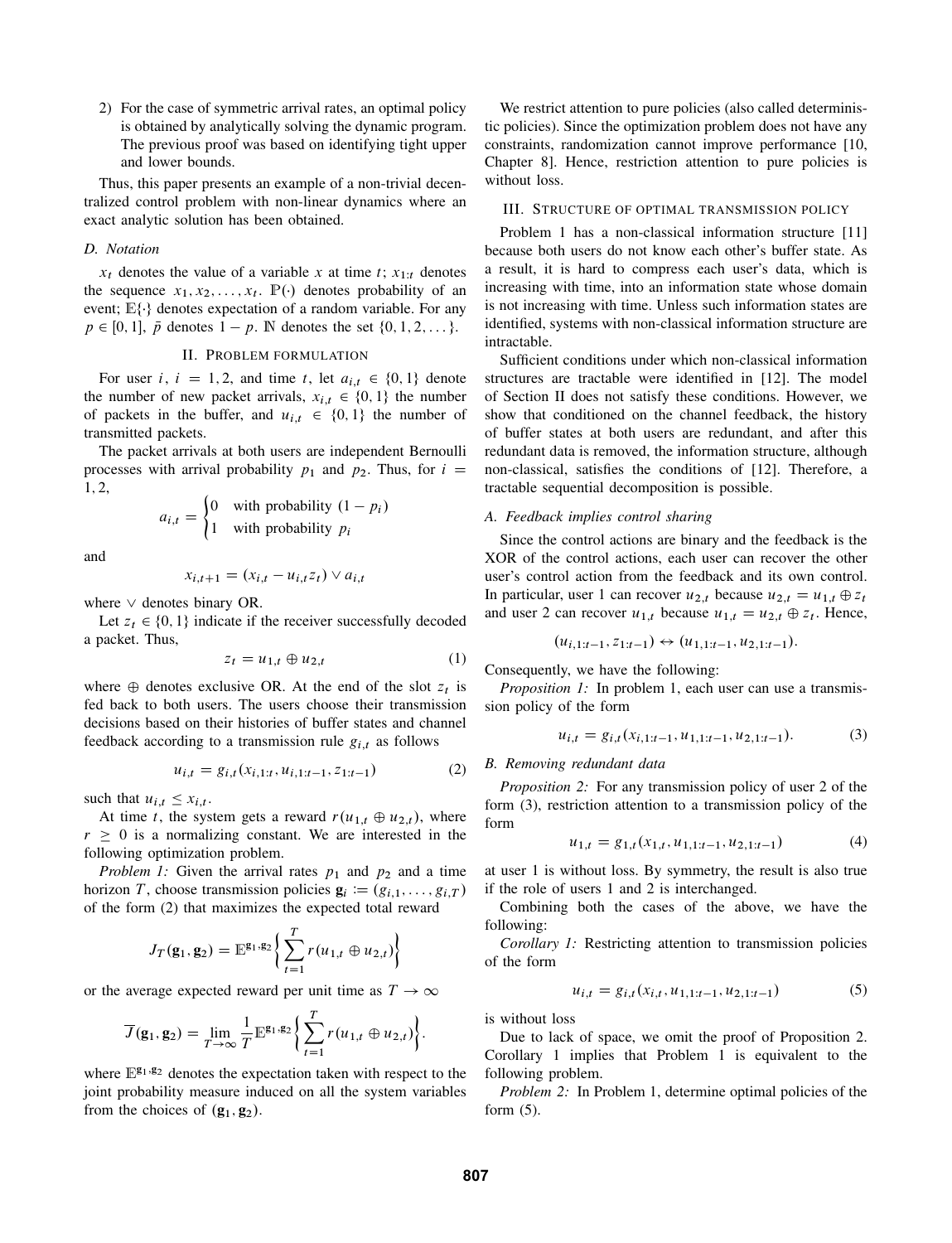2) For the case of symmetric arrival rates, an optimal policy is obtained by analytically solving the dynamic program. The previous proof was based on identifying tight upper and lower bounds.

Thus, this paper presents an example of a non-trivial decentralized control problem with non-linear dynamics where an exact analytic solution has been obtained.

## *D. Notation*

 $x_t$  denotes the value of a variable x at time t;  $x_{1:t}$  denotes the sequence  $x_1, x_2, \ldots, x_t$ .  $\mathbb{P}(\cdot)$  denotes probability of an event;  $E\{\cdot\}$  denotes expectation of a random variable. For any  $p \in [0, 1], \bar{p}$  denotes  $1 - p$ . N denotes the set  $\{0, 1, 2, \ldots\}.$ 

# II. PROBLEM FORMULATION

For user i,  $i = 1, 2$ , and time t, let  $a_{i,t} \in \{0, 1\}$  denote the number of new packet arrivals,  $x_{i,t} \in \{0, 1\}$  the number of packets in the buffer, and  $u_{i,t} \in \{0, 1\}$  the number of transmitted packets.

The packet arrivals at both users are independent Bernoulli processes with arrival probability  $p_1$  and  $p_2$ . Thus, for  $i =$ 1; 2,

$$
a_{i,t} = \begin{cases} 0 & \text{with probability } (1 - p_i) \\ 1 & \text{with probability } p_i \end{cases}
$$

and

$$
x_{i,t+1} = (x_{i,t} - u_{i,t}z_t) \vee a_{i,t}
$$

where  $\vee$  denotes binary OR.

Let  $z_t \in \{0, 1\}$  indicate if the receiver successfully decoded a packet. Thus,

$$
z_t = u_{1,t} \oplus u_{2,t} \tag{1}
$$

where  $\oplus$  denotes exclusive OR. At the end of the slot  $z_t$  is fed back to both users. The users choose their transmission decisions based on their histories of buffer states and channel feedback according to a transmission rule  $g_{i,t}$  as follows

$$
u_{i,t} = g_{i,t}(x_{i,1:t}, u_{i,1:t-1}, z_{1:t-1})
$$
 (2)

such that  $u_{i,t} \leq x_{i,t}$ .

At time t, the system gets a reward  $r(u_{1,t} \oplus u_{2,t})$ , where  $r \geq 0$  is a normalizing constant. We are interested in the following optimization problem.

*Problem 1:* Given the arrival rates  $p_1$  and  $p_2$  and a time horizon T, choose transmission policies  $\mathbf{g}_i := (g_{i,1}, \ldots, g_{i,T})$ of the form (2) that maximizes the expected total reward

$$
J_T(\mathbf{g}_1, \mathbf{g}_2) = \mathbb{E}^{\mathbf{g}_1, \mathbf{g}_2} \bigg\{ \sum_{t=1}^T r(u_{1,t} \oplus u_{2,t}) \bigg\}
$$

or the average expected reward per unit time as  $T \to \infty$ 

$$
\overline{J}(\mathbf{g}_1, \mathbf{g}_2) = \lim_{T \to \infty} \frac{1}{T} \mathbb{E}^{\mathbf{g}_1, \mathbf{g}_2} \bigg\{ \sum_{t=1}^T r(u_{1,t} \oplus u_{2,t}) \bigg\}.
$$

where  $E^{g_1,g_2}$  denotes the expectation taken with respect to the joint probability measure induced on all the system variables from the choices of  $(g_1, g_2)$ .

We restrict attention to pure policies (also called deterministic policies). Since the optimization problem does not have any constraints, randomization cannot improve performance [10, Chapter 8]. Hence, restriction attention to pure policies is without loss.

# III. STRUCTURE OF OPTIMAL TRANSMISSION POLICY

Problem 1 has a non-classical information structure [11] because both users do not know each other's buffer state. As a result, it is hard to compress each user's data, which is increasing with time, into an information state whose domain is not increasing with time. Unless such information states are identified, systems with non-classical information structure are intractable.

Sufficient conditions under which non-classical information structures are tractable were identified in [12]. The model of Section II does not satisfy these conditions. However, we show that conditioned on the channel feedback, the history of buffer states at both users are redundant, and after this redundant data is removed, the information structure, although non-classical, satisfies the conditions of [12]. Therefore, a tractable sequential decomposition is possible.

## *A. Feedback implies control sharing*

Since the control actions are binary and the feedback is the XOR of the control actions, each user can recover the other user's control action from the feedback and its own control. In particular, user 1 can recover  $u_{2,t}$  because  $u_{2,t} = u_{1,t} \oplus z_t$ and user 2 can recover  $u_{1,t}$  because  $u_{1,t} = u_{2,t} \oplus z_t$ . Hence,

$$
(u_{i,1:t-1}, z_{1:t-1}) \leftrightarrow (u_{1,1:t-1}, u_{2,1:t-1}).
$$

Consequently, we have the following:

*Proposition 1:* In problem 1, each user can use a transmission policy of the form

$$
u_{i,t} = g_{i,t}(x_{i,1:t-1}, u_{1,1:t-1}, u_{2,1:t-1}).
$$
\n(3)

# *B. Removing redundant data*

*Proposition 2:* For any transmission policy of user 2 of the form (3), restriction attention to a transmission policy of the form

$$
u_{1,t} = g_{1,t}(x_{1,t}, u_{1,1:t-1}, u_{2,1:t-1})
$$
\n<sup>(4)</sup>

at user 1 is without loss. By symmetry, the result is also true if the role of users 1 and 2 is interchanged.

Combining both the cases of the above, we have the following:

*Corollary 1:* Restricting attention to transmission policies of the form

$$
u_{i,t} = g_{i,t}(x_{i,t}, u_{1,1:t-1}, u_{2,1:t-1})
$$
\n(5)

is without loss

Due to lack of space, we omit the proof of Proposition 2. Corollary 1 implies that Problem 1 is equivalent to the following problem.

*Problem 2:* In Problem 1, determine optimal policies of the form  $(5)$ .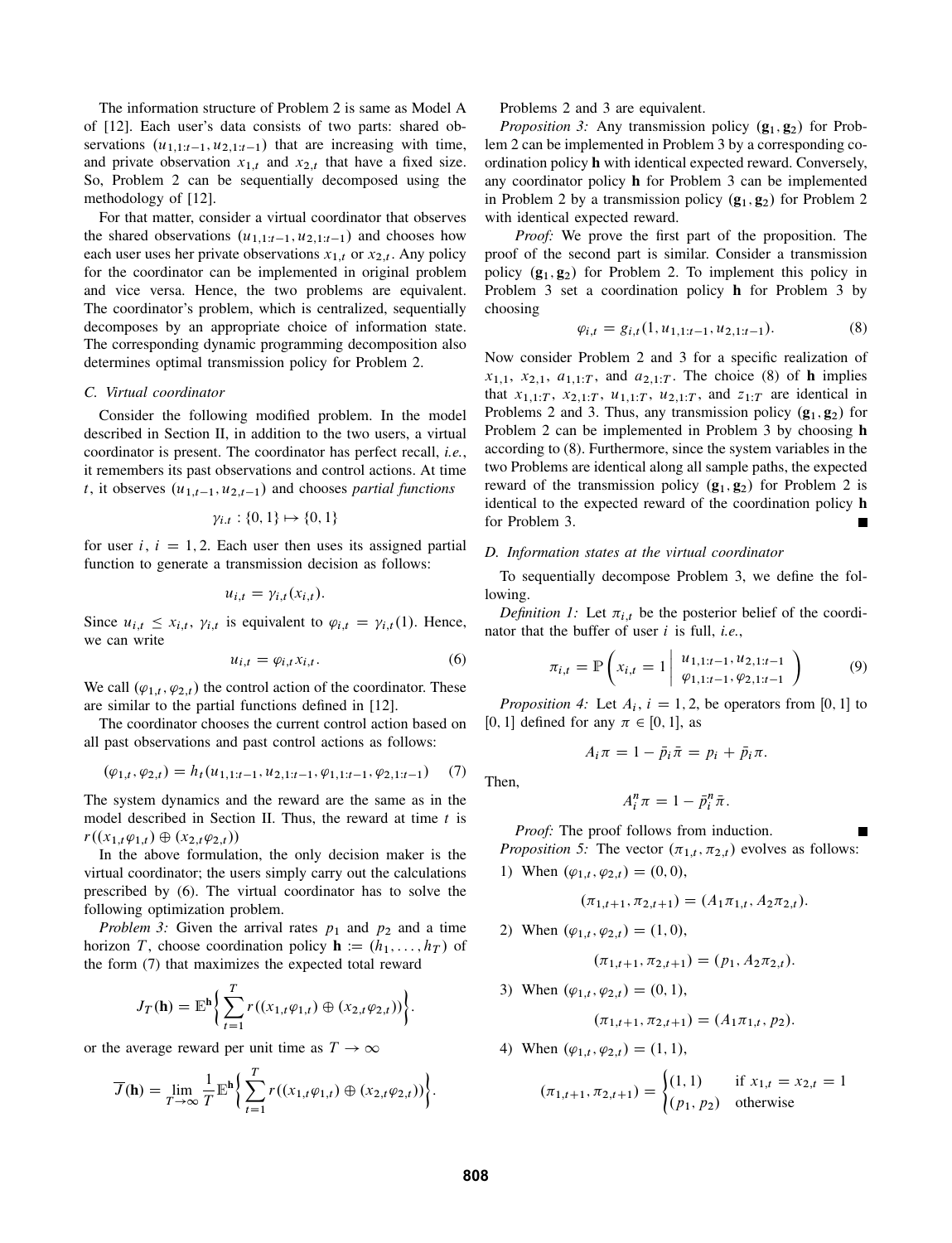The information structure of Problem 2 is same as Model A of [12]. Each user's data consists of two parts: shared observations  $(u_{1,1:t-1}, u_{2,1:t-1})$  that are increasing with time, and private observation  $x_{1,t}$  and  $x_{2,t}$  that have a fixed size. So, Problem 2 can be sequentially decomposed using the methodology of [12].

For that matter, consider a virtual coordinator that observes the shared observations  $(u_{1,1:t-1}, u_{2,1:t-1})$  and chooses how each user uses her private observations  $x_{1,t}$  or  $x_{2,t}$ . Any policy for the coordinator can be implemented in original problem and vice versa. Hence, the two problems are equivalent. The coordinator's problem, which is centralized, sequentially decomposes by an appropriate choice of information state. The corresponding dynamic programming decomposition also determines optimal transmission policy for Problem 2.

#### *C. Virtual coordinator*

Consider the following modified problem. In the model described in Section II, in addition to the two users, a virtual coordinator is present. The coordinator has perfect recall, *i.e.*, it remembers its past observations and control actions. At time t, it observes  $(u_{1,t-1}, u_{2,t-1})$  and chooses *partial functions* 

$$
\gamma_{i,t}: \{0,1\} \mapsto \{0,1\}
$$

for user i,  $i = 1, 2$ . Each user then uses its assigned partial function to generate a transmission decision as follows:

$$
u_{i,t} = \gamma_{i,t}(x_{i,t}).
$$

Since  $u_{i,t} \leq x_{i,t}$ ,  $\gamma_{i,t}$  is equivalent to  $\varphi_{i,t} = \gamma_{i,t}(1)$ . Hence, we can write

$$
u_{i,t} = \varphi_{i,t} x_{i,t}.
$$
 (6)

We call  $(\varphi_{1,t}, \varphi_{2,t})$  the control action of the coordinator. These are similar to the partial functions defined in [12].

The coordinator chooses the current control action based on all past observations and past control actions as follows:

$$
(\varphi_{1,t}, \varphi_{2,t}) = h_t(u_{1,1:t-1}, u_{2,1:t-1}, \varphi_{1,1:t-1}, \varphi_{2,1:t-1}) \tag{7}
$$

The system dynamics and the reward are the same as in the model described in Section II. Thus, the reward at time  $t$  is  $r((x_{1,t}\varphi_{1,t}) \oplus (x_{2,t}\varphi_{2,t}))$ 

In the above formulation, the only decision maker is the virtual coordinator; the users simply carry out the calculations prescribed by (6). The virtual coordinator has to solve the following optimization problem.

*Problem 3:* Given the arrival rates  $p_1$  and  $p_2$  and a time horizon T, choose coordination policy  $\mathbf{h} := (h_1, \ldots, h_T)$  of the form (7) that maximizes the expected total reward

$$
J_T(\mathbf{h}) = \mathbb{E}^{\mathbf{h}} \bigg\{ \sum_{t=1}^T r((x_{1,t} \varphi_{1,t}) \oplus (x_{2,t} \varphi_{2,t})) \bigg\}.
$$

or the average reward per unit time as  $T \to \infty$ 

$$
\overline{J}(\mathbf{h}) = \lim_{T \to \infty} \frac{1}{T} \mathbb{E}^{\mathbf{h}} \bigg\{ \sum_{t=1}^{T} r((x_{1,t}\varphi_{1,t}) \oplus (x_{2,t}\varphi_{2,t})) \bigg\}.
$$

Problems 2 and 3 are equivalent.

*Proposition 3:* Any transmission policy  $(g_1, g_2)$  for Problem 2 can be implemented in Problem 3 by a corresponding coordination policy h with identical expected reward. Conversely, any coordinator policy h for Problem 3 can be implemented in Problem 2 by a transmission policy  $(g_1, g_2)$  for Problem 2 with identical expected reward.

*Proof:* We prove the first part of the proposition. The proof of the second part is similar. Consider a transmission policy  $(g_1, g_2)$  for Problem 2. To implement this policy in Problem 3 set a coordination policy h for Problem 3 by choosing

$$
\varphi_{i,t} = g_{i,t}(1, u_{1,1:t-1}, u_{2,1:t-1}).\tag{8}
$$

Now consider Problem 2 and 3 for a specific realization of  $x_{1,1}$ ,  $x_{2,1}$ ,  $a_{1,1:T}$ , and  $a_{2,1:T}$ . The choice (8) of **h** implies that  $x_{1,1:T}$ ,  $x_{2,1:T}$ ,  $u_{1,1:T}$ ,  $u_{2,1:T}$ , and  $z_{1:T}$  are identical in Problems 2 and 3. Thus, any transmission policy  $(g_1, g_2)$  for Problem 2 can be implemented in Problem 3 by choosing h according to (8). Furthermore, since the system variables in the two Problems are identical along all sample paths, the expected reward of the transmission policy  $(g_1, g_2)$  for Problem 2 is identical to the expected reward of the coordination policy h for Problem 3.

#### *D. Information states at the virtual coordinator*

To sequentially decompose Problem 3, we define the following.

*Definition 1:* Let  $\pi_{i,t}$  be the posterior belief of the coordinator that the buffer of user i is full, *i.e.*,

$$
\pi_{i,t} = \mathbb{P}\left(x_{i,t} = 1 \middle| \begin{array}{c} u_{1,1:t-1}, u_{2,1:t-1} \\ \varphi_{1,1:t-1}, \varphi_{2,1:t-1} \end{array}\right)
$$
(9)

*Proposition 4:* Let  $A_i$ ,  $i = 1, 2$ , be operators from [0, 1] to [0, 1] defined for any  $\pi \in [0, 1]$ , as

$$
A_i \pi = 1 - \bar{p}_i \bar{\pi} = p_i + \bar{p}_i \pi.
$$

 $A_i^n \pi = 1 - \bar{p}_i^n \bar{\pi}.$ 

Then,

$$
\mathcal{L}_{\mathcal{A}}(x)
$$

*Proof:* The proof follows from induction. *Proposition 5:* The vector  $(\pi_{1,t}, \pi_{2,t})$  evolves as follows: 1) When  $(\varphi_{1,t}, \varphi_{2,t}) = (0, 0),$ 

$$
(\pi_{1,t+1}, \pi_{2,t+1}) = (A_1 \pi_{1,t}, A_2 \pi_{2,t})
$$

2) When  $(\varphi_{1,t}, \varphi_{2,t}) = (1, 0),$ 

$$
(\pi_{1,t+1}, \pi_{2,t+1}) = (p_1, A_2 \pi_{2,t}).
$$

3) When  $(\varphi_{1,t}, \varphi_{2,t}) = (0, 1),$ 

$$
(\pi_{1,t+1}, \pi_{2,t+1}) = (A_1 \pi_{1,t}, p_2).
$$

4) When  $(\varphi_{1,t}, \varphi_{2,t}) = (1, 1),$ 

$$
(\pi_{1,t+1}, \pi_{2,t+1}) = \begin{cases} (1,1) & \text{if } x_{1,t} = x_{2,t} = 1\\ (p_1, p_2) & \text{otherwise} \end{cases}
$$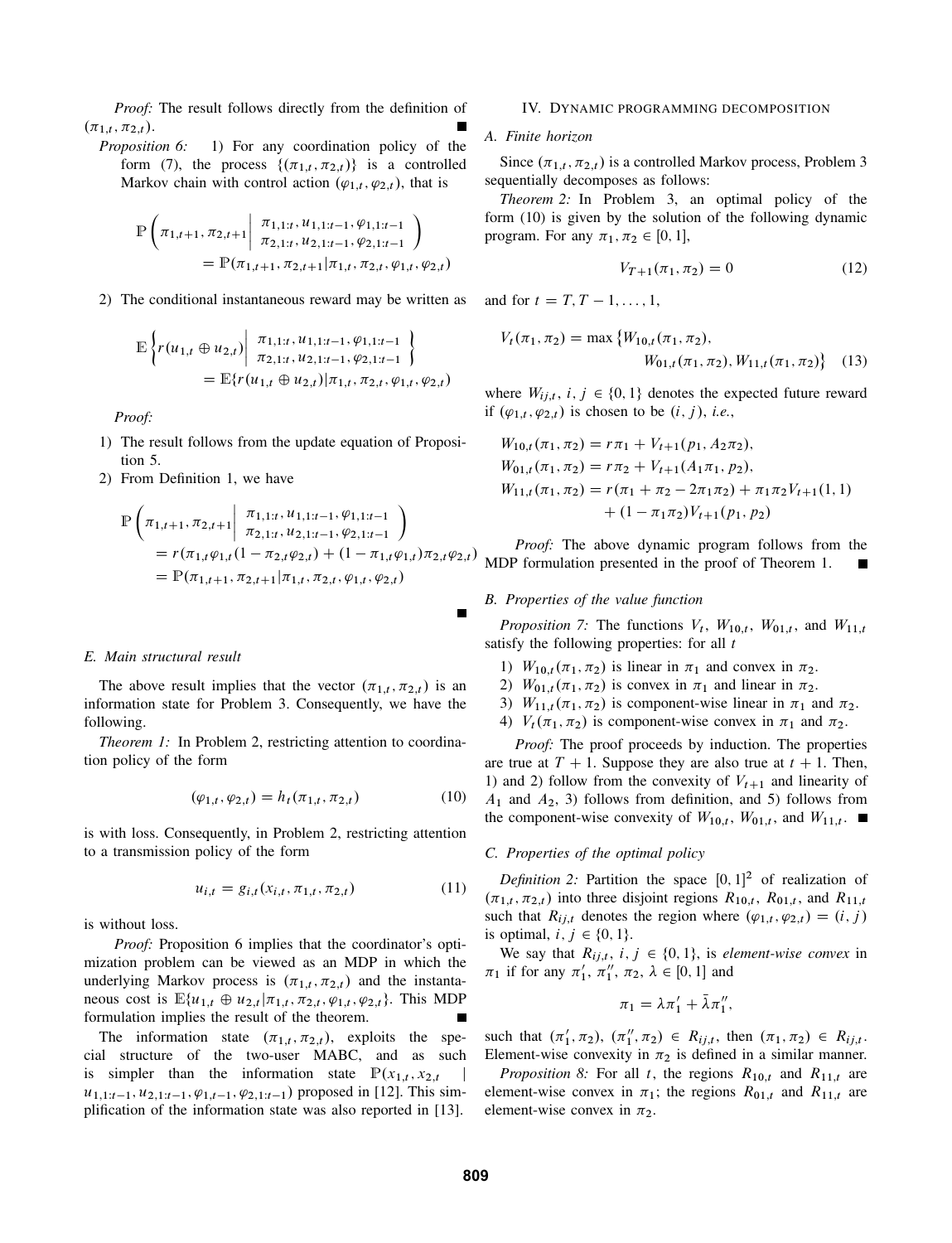*Proof:* The result follows directly from the definition of  $(\pi_{1,t}, \pi_{2,t}).$ 

*Proposition 6:* 1) For any coordination policy of the form (7), the process  $\{(\pi_{1,t}, \pi_{2,t})\}$  is a controlled Markov chain with control action  $(\varphi_{1,t}, \varphi_{2,t})$ , that is

$$
\mathbb{P}\left(\pi_{1,t+1}, \pi_{2,t+1} \middle| \begin{array}{c} \pi_{1,1:t}, u_{1,1:t-1}, \varphi_{1,1:t-1} \\ \pi_{2,1:t}, u_{2,1:t-1}, \varphi_{2,1:t-1} \end{array}\right) \n= \mathbb{P}(\pi_{1,t+1}, \pi_{2,t+1} | \pi_{1,t}, \pi_{2,t}, \varphi_{1,t}, \varphi_{2,t})
$$

2) The conditional instantaneous reward may be written as

$$
\mathbb{E}\left\{ r(u_{1,t}\oplus u_{2,t})\middle|\begin{array}{l}\pi_{1,1:t},u_{1,1:t-1},\varphi_{1,1:t-1}\\\pi_{2,1:t},u_{2,1:t-1},\varphi_{2,1:t-1}\end{array}\right\}
$$
\n
$$
=\mathbb{E}\left\{ r(u_{1,t}\oplus u_{2,t})\middle|\pi_{1,t},\pi_{2,t},\varphi_{1,t},\varphi_{2,t}\right\}
$$

*Proof:*

- 1) The result follows from the update equation of Proposition 5.
- 2) From Definition 1, we have

$$
\mathbb{P}\left(\pi_{1,t+1}, \pi_{2,t+1} \middle| \begin{array}{l}\pi_{1,1:t}, u_{1,1:t-1}, \varphi_{1,1:t-1} \\
\pi_{2,1:t}, u_{2,1:t-1}, \varphi_{2,1:t-1} \end{array}\right) \n= r(\pi_{1,t}\varphi_{1,t}(1 - \pi_{2,t}\varphi_{2,t}) + (1 - \pi_{1,t}\varphi_{1,t})\pi_{2,t}\varphi_{2,t}) \n= \mathbb{P}(\pi_{1,t+1}, \pi_{2,t+1} | \pi_{1,t}, \pi_{2,t}, \varphi_{1,t}, \varphi_{2,t})
$$

#### *E. Main structural result*

The above result implies that the vector  $(\pi_{1,t}, \pi_{2,t})$  is an information state for Problem 3. Consequently, we have the following.

*Theorem 1:* In Problem 2, restricting attention to coordination policy of the form

$$
(\varphi_{1,t}, \varphi_{2,t}) = h_t(\pi_{1,t}, \pi_{2,t})
$$
\n(10)

is with loss. Consequently, in Problem 2, restricting attention to a transmission policy of the form

$$
u_{i,t} = g_{i,t}(x_{i,t}, \pi_{1,t}, \pi_{2,t})
$$
 (11)

is without loss.

*Proof:* Proposition 6 implies that the coordinator's optimization problem can be viewed as an MDP in which the underlying Markov process is  $(\pi_{1,t}, \pi_{2,t})$  and the instantaneous cost is  $\mathbb{E}\{u_{1,t} \oplus u_{2,t} | \pi_{1,t}, \pi_{2,t}, \varphi_{1,t}, \varphi_{2,t}\}.$  This MDP formulation implies the result of the theorem.

The information state  $(\pi_{1,t}, \pi_{2,t})$ , exploits the special structure of the two-user MABC, and as such is simpler than the information state  $\mathbb{P}(x_{1,t}, x_{2,t})$  $u_{1,1:t-1}, u_{2,1:t-1}, \varphi_{1,t-1}, \varphi_{2,1:t-1}$  proposed in [12]. This simplification of the information state was also reported in [13].

#### IV. DYNAMIC PROGRAMMING DECOMPOSITION

## *A. Finite horizon*

Since  $(\pi_{1,t}, \pi_{2,t})$  is a controlled Markov process, Problem 3 sequentially decomposes as follows:

*Theorem 2:* In Problem 3, an optimal policy of the form (10) is given by the solution of the following dynamic program. For any  $\pi_1, \pi_2 \in [0, 1]$ ,

$$
V_{T+1}(\pi_1, \pi_2) = 0 \tag{12}
$$

and for  $t = T, T - 1, \ldots, 1$ ,

$$
V_t(\pi_1, \pi_2) = \max \{ W_{10,t}(\pi_1, \pi_2),
$$
  
 
$$
W_{01,t}(\pi_1, \pi_2), W_{11,t}(\pi_1, \pi_2) \} \quad (13)
$$

where  $W_{ij,t}$ ,  $i, j \in \{0, 1\}$  denotes the expected future reward if  $(\varphi_{1,t}, \varphi_{2,t})$  is chosen to be  $(i, j)$ , *i.e.*,

$$
W_{10,t}(\pi_1, \pi_2) = r\pi_1 + V_{t+1}(p_1, A_2\pi_2),
$$
  
\n
$$
W_{01,t}(\pi_1, \pi_2) = r\pi_2 + V_{t+1}(A_1\pi_1, p_2),
$$
  
\n
$$
W_{11,t}(\pi_1, \pi_2) = r(\pi_1 + \pi_2 - 2\pi_1\pi_2) + \pi_1\pi_2V_{t+1}(1, 1) + (1 - \pi_1\pi_2)V_{t+1}(p_1, p_2)
$$

*Proof:* The above dynamic program follows from the MDP formulation presented in the proof of Theorem 1.

## *B. Properties of the value function*

*Proposition 7:* The functions  $V_t$ ,  $W_{10,t}$ ,  $W_{01,t}$ , and  $W_{11,t}$ satisfy the following properties: for all  $t$ 

- 1)  $W_{10,t}(\pi_1, \pi_2)$  is linear in  $\pi_1$  and convex in  $\pi_2$ .
- 2)  $W_{01,t}(\pi_1, \pi_2)$  is convex in  $\pi_1$  and linear in  $\pi_2$ .
- 3)  $W_{11,t}(\pi_1, \pi_2)$  is component-wise linear in  $\pi_1$  and  $\pi_2$ .
- 4)  $V_t(\pi_1, \pi_2)$  is component-wise convex in  $\pi_1$  and  $\pi_2$ .

*Proof:* The proof proceeds by induction. The properties are true at  $T + 1$ . Suppose they are also true at  $t + 1$ . Then, 1) and 2) follow from the convexity of  $V_{t+1}$  and linearity of  $A_1$  and  $A_2$ , 3) follows from definition, and 5) follows from the component-wise convexity of  $W_{10,t}$ ,  $W_{01,t}$ , and  $W_{11,t}$ .

#### *C. Properties of the optimal policy*

*Definition 2:* Partition the space  $[0, 1]^2$  of realization of  $(\pi_{1,t}, \pi_{2,t})$  into three disjoint regions  $R_{10,t}$ ,  $R_{01,t}$ , and  $R_{11,t}$ such that  $R_{ij,t}$  denotes the region where  $(\varphi_{1,t}, \varphi_{2,t}) = (i, j)$ is optimal,  $i, j \in \{0, 1\}.$ 

We say that  $R_{ij,t}$ ,  $i, j \in \{0, 1\}$ , is *element-wise convex* in  $\pi_1$  if for any  $\pi'_1$ ,  $\pi''_1$ ,  $\pi_2$ ,  $\lambda \in [0, 1]$  and

$$
\pi_1 = \lambda \pi_1' + \bar{\lambda} \pi_1'',
$$

such that  $(\pi'_1, \pi_2), (\pi''_1, \pi_2) \in R_{ij,t}$ , then  $(\pi_1, \pi_2) \in R_{ij,t}$ . Element-wise convexity in  $\pi_2$  is defined in a similar manner.

*Proposition 8:* For all t, the regions  $R_{10,t}$  and  $R_{11,t}$  are element-wise convex in  $\pi_1$ ; the regions  $R_{01,t}$  and  $R_{11,t}$  are element-wise convex in  $\pi_2$ .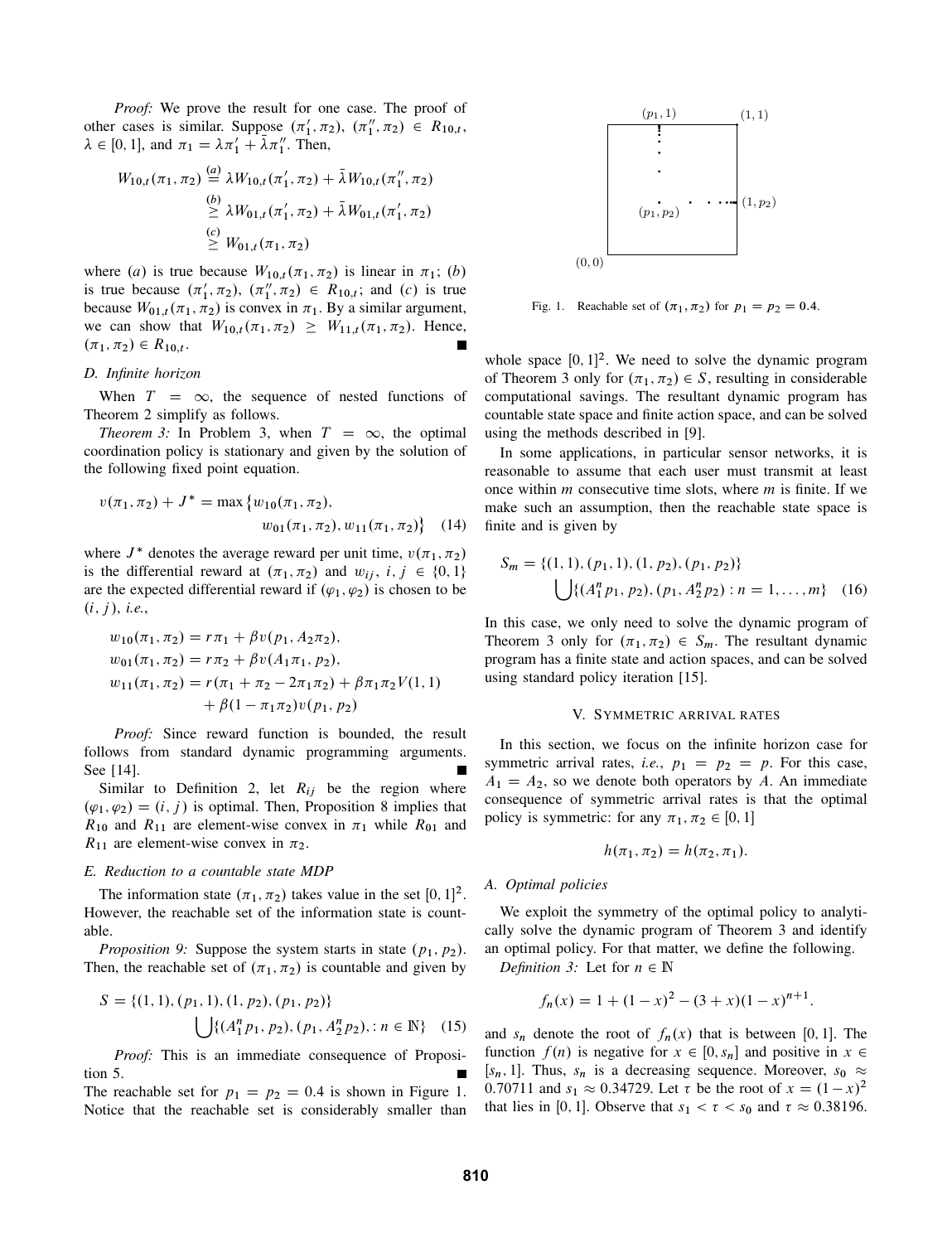*Proof:* We prove the result for one case. The proof of other cases is similar. Suppose  $(\pi'_1, \pi_2)$ ,  $(\pi''_1, \pi_2) \in R_{10,t}$ ,  $\lambda \in [0, 1]$ , and  $\pi_1 = \lambda \pi'_1 + \bar{\lambda} \pi''_1$ . Then,

$$
W_{10,t}(\pi_1, \pi_2) \stackrel{(a)}{=} \lambda W_{10,t}(\pi'_1, \pi_2) + \bar{\lambda} W_{10,t}(\pi''_1, \pi_2)
$$
  
\n
$$
\stackrel{(b)}{\geq} \lambda W_{01,t}(\pi'_1, \pi_2) + \bar{\lambda} W_{01,t}(\pi'_1, \pi_2)
$$
  
\n
$$
\stackrel{(c)}{\geq} W_{01,t}(\pi_1, \pi_2)
$$

where (a) is true because  $W_{10,t}(\pi_1, \pi_2)$  is linear in  $\pi_1$ ; (b) is true because  $(\pi'_1, \pi_2), (\pi''_1, \pi_2) \in R_{10,t}$ ; and  $(c)$  is true because  $W_{01,t}(\pi_1, \pi_2)$  is convex in  $\pi_1$ . By a similar argument, we can show that  $W_{10,t}(\pi_1, \pi_2) \geq W_{11,t}(\pi_1, \pi_2)$ . Hence,  $(\pi_1, \pi_2) \in R_{10,t}$ .

# *D. Infinite horizon*

When  $T = \infty$ , the sequence of nested functions of Theorem 2 simplify as follows.

*Theorem 3:* In Problem 3, when  $T = \infty$ , the optimal coordination policy is stationary and given by the solution of the following fixed point equation.

$$
v(\pi_1, \pi_2) + J^* = \max \{ w_{10}(\pi_1, \pi_2),
$$
  

$$
w_{01}(\pi_1, \pi_2), w_{11}(\pi_1, \pi_2) \}
$$
 (14)

where  $J^*$  denotes the average reward per unit time,  $v(\pi_1, \pi_2)$ is the differential reward at  $(\pi_1, \pi_2)$  and  $w_{ij}$ ,  $i, j \in \{0, 1\}$ are the expected differential reward if  $(\varphi_1, \varphi_2)$  is chosen to be  $(i, j), i.e.,$ 

$$
w_{10}(\pi_1, \pi_2) = r\pi_1 + \beta v(p_1, A_2\pi_2),
$$
  
\n
$$
w_{01}(\pi_1, \pi_2) = r\pi_2 + \beta v(A_1\pi_1, p_2),
$$
  
\n
$$
w_{11}(\pi_1, \pi_2) = r(\pi_1 + \pi_2 - 2\pi_1\pi_2) + \beta \pi_1\pi_2 V(1, 1)
$$
  
\n
$$
+ \beta(1 - \pi_1\pi_2)v(p_1, p_2)
$$

*Proof:* Since reward function is bounded, the result follows from standard dynamic programming arguments. See [14].

Similar to Definition 2, let  $R_{ij}$  be the region where  $(\varphi_1, \varphi_2) = (i, j)$  is optimal. Then, Proposition 8 implies that  $R_{10}$  and  $R_{11}$  are element-wise convex in  $\pi_1$  while  $R_{01}$  and  $R_{11}$  are element-wise convex in  $\pi_2$ .

#### *E. Reduction to a countable state MDP*

The information state  $(\pi_1, \pi_2)$  takes value in the set  $[0, 1]^2$ . However, the reachable set of the information state is countable.

*Proposition 9:* Suppose the system starts in state  $(p_1, p_2)$ . Then, the reachable set of  $(\pi_1, \pi_2)$  is countable and given by

$$
S = \{(1, 1), (p_1, 1), (1, p_2), (p_1, p_2)\}\
$$

$$
\bigcup \{(A_1^n p_1, p_2), (p_1, A_2^n p_2), : n \in \mathbb{N}\}\
$$
(15)

*Proof:* This is an immediate consequence of Proposition 5.

The reachable set for  $p_1 = p_2 = 0.4$  is shown in Figure 1. Notice that the reachable set is considerably smaller than



Fig. 1. Reachable set of  $(\pi_1, \pi_2)$  for  $p_1 = p_2 = 0.4$ .

whole space  $[0, 1]^2$ . We need to solve the dynamic program of Theorem 3 only for  $(\pi_1, \pi_2) \in S$ , resulting in considerable computational savings. The resultant dynamic program has countable state space and finite action space, and can be solved using the methods described in [9].

In some applications, in particular sensor networks, it is reasonable to assume that each user must transmit at least once within  $m$  consecutive time slots, where  $m$  is finite. If we make such an assumption, then the reachable state space is finite and is given by

$$
S_m = \{(1, 1), (p_1, 1), (1, p_2), (p_1, p_2)\}\
$$

$$
\bigcup \{(A_1^n p_1, p_2), (p_1, A_2^n p_2) : n = 1, ..., m\} \quad (16)
$$

In this case, we only need to solve the dynamic program of Theorem 3 only for  $(\pi_1, \pi_2) \in S_m$ . The resultant dynamic program has a finite state and action spaces, and can be solved using standard policy iteration [15].

# V. SYMMETRIC ARRIVAL RATES

In this section, we focus on the infinite horizon case for symmetric arrival rates, *i.e.*,  $p_1 = p_2 = p$ . For this case,  $A_1 = A_2$ , so we denote both operators by A. An immediate consequence of symmetric arrival rates is that the optimal policy is symmetric: for any  $\pi_1, \pi_2 \in [0, 1]$ 

$$
h(\pi_1, \pi_2) = h(\pi_2, \pi_1).
$$

#### *A. Optimal policies*

We exploit the symmetry of the optimal policy to analytically solve the dynamic program of Theorem 3 and identify an optimal policy. For that matter, we define the following.

*Definition 3:* Let for  $n \in \mathbb{N}$ 

$$
f_n(x) = 1 + (1 - x)^2 - (3 + x)(1 - x)^{n+1}
$$

:

and  $s_n$  denote the root of  $f_n(x)$  that is between [0, 1]. The function  $f(n)$  is negative for  $x \in [0, s_n]$  and positive in  $x \in$ [ $s_n$ , 1]. Thus,  $s_n$  is a decreasing sequence. Moreover,  $s_0 \approx$ 0.70711 and  $s_1 \approx 0.34729$ . Let  $\tau$  be the root of  $x = (1 - x)^2$ that lies in [0, 1]. Observe that  $s_1 < \tau < s_0$  and  $\tau \approx 0.38196$ .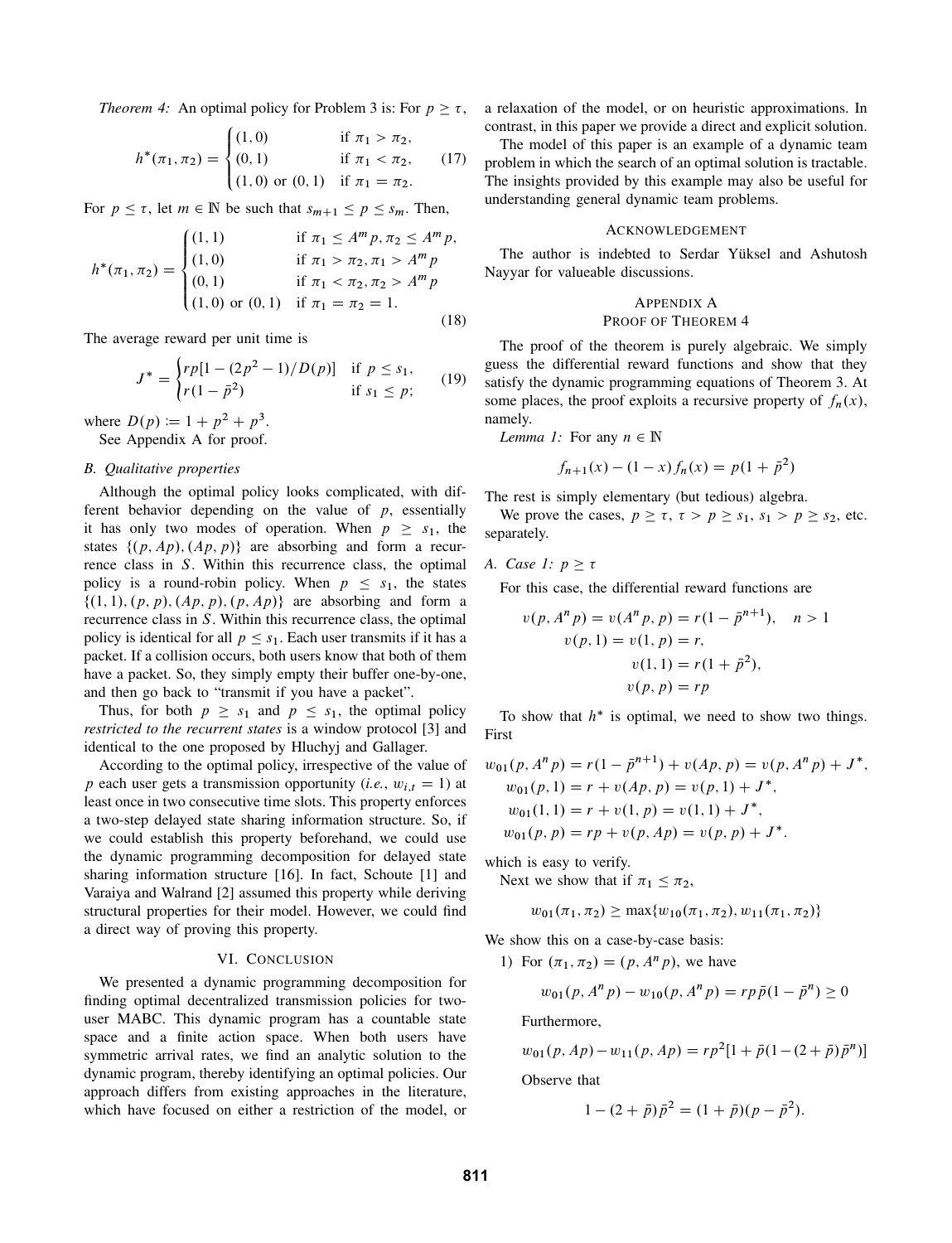*Theorem 4:* An optimal policy for Problem 3 is: For  $p > \tau$ ,

$$
h^*(\pi_1, \pi_2) = \begin{cases} (1,0) & \text{if } \pi_1 > \pi_2, \\ (0,1) & \text{if } \pi_1 < \pi_2, \\ (1,0) & \text{or } (0,1) \text{ if } \pi_1 = \pi_2. \end{cases}
$$
 (17)

For  $p \leq \tau$ , let  $m \in \mathbb{N}$  be such that  $s_{m+1} \leq p \leq s_m$ . Then,

$$
h^*(\pi_1, \pi_2) = \begin{cases} (1, 1) & \text{if } \pi_1 \le A^m p, \pi_2 \le A^m p, \\ (1, 0) & \text{if } \pi_1 > \pi_2, \pi_1 > A^m p \\ (0, 1) & \text{if } \pi_1 < \pi_2, \pi_2 > A^m p \\ (1, 0) \text{ or } (0, 1) & \text{if } \pi_1 = \pi_2 = 1. \end{cases}
$$
(18)

The average reward per unit time is

$$
J^* = \begin{cases} rp[1 - (2p^2 - 1)/D(p)] & \text{if } p \le s_1, \\ r(1 - \bar{p}^2) & \text{if } s_1 \le p; \end{cases}
$$
 (19)

where  $D(p) := 1 + p^2 + p^3$ . See Appendix A for proof.

## *B. Qualitative properties*

Although the optimal policy looks complicated, with different behavior depending on the value of  $p$ , essentially it has only two modes of operation. When  $p \geq s_1$ , the states  $\{(p, Ap), (Ap, p)\}\$  are absorbing and form a recurrence class in S. Within this recurrence class, the optimal policy is a round-robin policy. When  $p \leq s_1$ , the states  $\{(1, 1), (p, p), (Ap, p), (p, Ap)\}\$  are absorbing and form a recurrence class in S. Within this recurrence class, the optimal policy is identical for all  $p \leq s_1$ . Each user transmits if it has a packet. If a collision occurs, both users know that both of them have a packet. So, they simply empty their buffer one-by-one, and then go back to "transmit if you have a packet".

Thus, for both  $p \geq s_1$  and  $p \leq s_1$ , the optimal policy *restricted to the recurrent states* is a window protocol [3] and identical to the one proposed by Hluchyj and Gallager.

According to the optimal policy, irrespective of the value of p each user gets a transmission opportunity (*i.e.*,  $w_{i,t} = 1$ ) at least once in two consecutive time slots. This property enforces a two-step delayed state sharing information structure. So, if we could establish this property beforehand, we could use the dynamic programming decomposition for delayed state sharing information structure [16]. In fact, Schoute [1] and Varaiya and Walrand [2] assumed this property while deriving structural properties for their model. However, we could find a direct way of proving this property.

### VI. CONCLUSION

We presented a dynamic programming decomposition for finding optimal decentralized transmission policies for twouser MABC. This dynamic program has a countable state space and a finite action space. When both users have symmetric arrival rates, we find an analytic solution to the dynamic program, thereby identifying an optimal policies. Our approach differs from existing approaches in the literature, which have focused on either a restriction of the model, or a relaxation of the model, or on heuristic approximations. In contrast, in this paper we provide a direct and explicit solution.

The model of this paper is an example of a dynamic team problem in which the search of an optimal solution is tractable. The insights provided by this example may also be useful for understanding general dynamic team problems.

## ACKNOWLEDGEMENT

The author is indebted to Serdar Yüksel and Ashutosh Nayyar for valueable discussions.

# APPENDIX A PROOF OF THEOREM 4

The proof of the theorem is purely algebraic. We simply guess the differential reward functions and show that they satisfy the dynamic programming equations of Theorem 3. At some places, the proof exploits a recursive property of  $f_n(x)$ , namely.

*Lemma 1:* For any  $n \in \mathbb{N}$ 

$$
f_{n+1}(x) - (1-x)f_n(x) = p(1 + \bar{p}^2)
$$

The rest is simply elementary (but tedious) algebra.

We prove the cases,  $p \geq \tau$ ,  $\tau > p \geq s_1$ ,  $s_1 > p \geq s_2$ , etc. separately.

# *A. Case 1:*  $p \geq \tau$

For this case, the differential reward functions are

$$
v(p, An p) = v(An p, p) = r(1 - \bar{p}n+1), \quad n > 1
$$
  

$$
v(p, 1) = v(1, p) = r,
$$
  

$$
v(1, 1) = r(1 + \bar{p}2),
$$
  

$$
v(p, p) = rp
$$

To show that  $h^*$  is optimal, we need to show two things. First

$$
w_{01}(p, A^{n}p) = r(1 - \bar{p}^{n+1}) + v(Ap, p) = v(p, A^{n}p) + J^{*},
$$
  
\n
$$
w_{01}(p, 1) = r + v(Ap, p) = v(p, 1) + J^{*},
$$
  
\n
$$
w_{01}(1, 1) = r + v(1, p) = v(1, 1) + J^{*},
$$
  
\n
$$
w_{01}(p, p) = rp + v(p, Ap) = v(p, p) + J^{*}.
$$

which is easy to verify.

Next we show that if  $\pi_1 < \pi_2$ ,

$$
w_{01}(\pi_1, \pi_2) \ge \max\{w_{10}(\pi_1, \pi_2), w_{11}(\pi_1, \pi_2)\}\
$$

We show this on a case-by-case basis:

1) For  $(\pi_1, \pi_2) = (p, A^n p)$ , we have

$$
w_{01}(p, A^{n}p) - w_{10}(p, A^{n}p) = rp\bar{p}(1 - \bar{p}^{n}) \ge 0
$$

Furthermore,

$$
w_{01}(p, Ap) - w_{11}(p, Ap) = rp^{2}[1 + \bar{p}(1 - (2 + \bar{p})\bar{p}^{n})]
$$

Observe that

$$
1 - (2 + \bar{p})\bar{p}^2 = (1 + \bar{p})(p - \bar{p}^2).
$$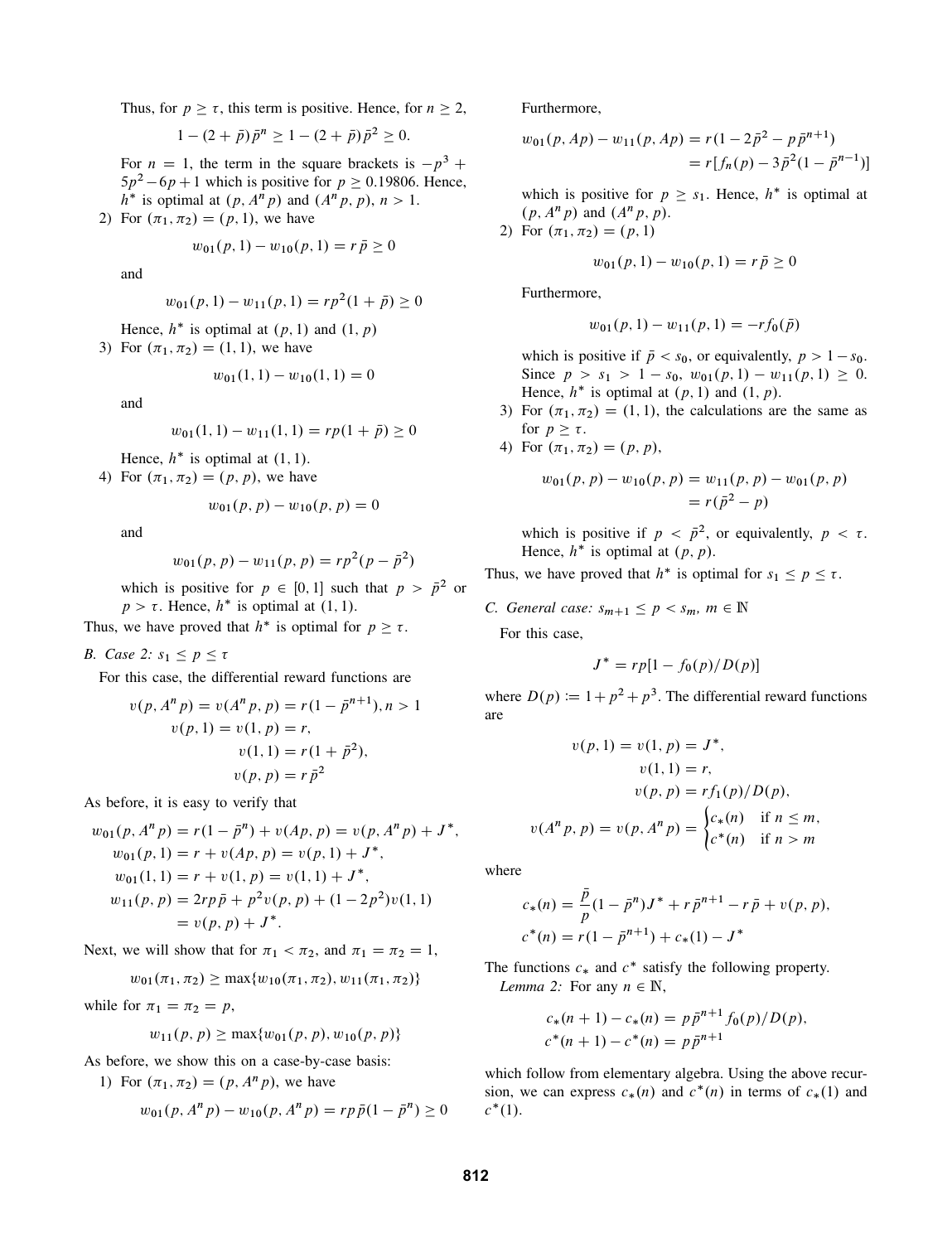Thus, for  $p \ge \tau$ , this term is positive. Hence, for  $n \ge 2$ ,

$$
1 - (2 + \bar{p})\bar{p}^n \ge 1 - (2 + \bar{p})\bar{p}^2 \ge 0.
$$

For  $n = 1$ , the term in the square brackets is  $-p^3$  +  $5p^2 - 6p + 1$  which is positive for  $p \ge 0.19806$ . Hence,  $h^*$  is optimal at  $(p, A^n p)$  and  $(A^n p, p)$ ,  $n > 1$ .

2) For  $(\pi_1, \pi_2) = (p, 1)$ , we have

$$
w_{01}(p,1) - w_{10}(p,1) = r\,\bar{p} \ge 0
$$

and

$$
w_{01}(p, 1) - w_{11}(p, 1) = rp^{2}(1 + \bar{p}) \ge 0
$$

Hence,  $h^*$  is optimal at  $(p, 1)$  and  $(1, p)$ 

3) For  $(\pi_1, \pi_2) = (1, 1)$ , we have

$$
w_{01}(1,1) - w_{10}(1,1) = 0
$$

and

$$
w_{01}(1,1) - w_{11}(1,1) = rp(1 + \bar{p}) \ge 0
$$

Hence,  $h^*$  is optimal at  $(1, 1)$ .

4) For  $(\pi_1, \pi_2) = (p, p)$ , we have

$$
w_{01}(p, p) - w_{10}(p, p) = 0
$$

and

$$
w_{01}(p, p) - w_{11}(p, p) = rp^{2}(p - \bar{p}^{2})
$$

which is positive for  $p \in [0, 1]$  such that  $p > \bar{p}^2$  or  $p > \tau$ . Hence,  $h^*$  is optimal at (1, 1).

Thus, we have proved that  $h^*$  is optimal for  $p \geq \tau$ .

*B. Case* 2:  $s_1 \leq p \leq \tau$ 

For this case, the differential reward functions are

$$
v(p, An p) = v(An p, p) = r(1 - \bar{p}n+1), n > 1
$$
  

$$
v(p, 1) = v(1, p) = r,
$$
  

$$
v(1, 1) = r(1 + \bar{p}2),
$$
  

$$
v(p, p) = r\bar{p}2
$$

As before, it is easy to verify that

$$
w_{01}(p, A^{n} p) = r(1 - \bar{p}^{n}) + v(Ap, p) = v(p, A^{n} p) + J^{*},
$$
  
\n
$$
w_{01}(p, 1) = r + v(Ap, p) = v(p, 1) + J^{*},
$$
  
\n
$$
w_{01}(1, 1) = r + v(1, p) = v(1, 1) + J^{*},
$$
  
\n
$$
w_{11}(p, p) = 2rp\bar{p} + p^{2}v(p, p) + (1 - 2p^{2})v(1, 1)
$$
  
\n
$$
= v(p, p) + J^{*}.
$$

Next, we will show that for  $\pi_1 < \pi_2$ , and  $\pi_1 = \pi_2 = 1$ ,

$$
w_{01}(\pi_1, \pi_2) \ge \max\{w_{10}(\pi_1, \pi_2), w_{11}(\pi_1, \pi_2)\}\
$$

while for  $\pi_1 = \pi_2 = p$ ,

$$
w_{11}(p, p) \ge \max\{w_{01}(p, p), w_{10}(p, p)\}
$$

As before, we show this on a case-by-case basis:

1) For  $(\pi_1, \pi_2) = (p, A^n p)$ , we have

$$
w_{01}(p, A^{n} p) - w_{10}(p, A^{n} p) = r p \bar{p}(1 - \bar{p}^{n}) \ge 0
$$

Furthermore,

$$
w_{01}(p, Ap) - w_{11}(p, Ap) = r(1 - 2\bar{p}^2 - p\bar{p}^{n+1})
$$
  
=  $r[f_n(p) - 3\bar{p}^2(1 - \bar{p}^{n-1})]$ 

which is positive for  $p \geq s_1$ . Hence,  $h^*$  is optimal at  $(p, A<sup>n</sup> p)$  and  $(A<sup>n</sup> p, p)$ .

2) For  $(\pi_1, \pi_2) = (p, 1)$ 

$$
w_{01}(p,1) - w_{10}(p,1) = r\bar{p} \ge 0
$$

Furthermore,

$$
w_{01}(p,1) - w_{11}(p,1) = -rf_0(\bar{p})
$$

which is positive if  $\bar{p} < s_0$ , or equivalently,  $p > 1 - s_0$ . Since  $p > s_1 > 1 - s_0$ ,  $w_{01}(p, 1) - w_{11}(p, 1) \ge 0$ . Hence,  $h^*$  is optimal at  $(p, 1)$  and  $(1, p)$ .

- 3) For  $(\pi_1, \pi_2) = (1, 1)$ , the calculations are the same as for  $p \geq \tau$ .
- 4) For  $(\pi_1, \pi_2) = (p, p)$ ,

$$
w_{01}(p, p) - w_{10}(p, p) = w_{11}(p, p) - w_{01}(p, p)
$$
  
=  $r(\bar{p}^2 - p)$ 

which is positive if  $p < \bar{p}^2$ , or equivalently,  $p < \tau$ . Hence,  $h^*$  is optimal at  $(p, p)$ .

Thus, we have proved that  $h^*$  is optimal for  $s_1 \leq p \leq \tau$ .

*C. General case:*  $s_{m+1} \leq p < s_m$ ,  $m \in \mathbb{N}$ 

For this case,

$$
J^* = rp[1 - f_0(p)/D(p)]
$$

where  $D(p) \coloneqq 1 + p^2 + p^3$ . The differential reward functions are

$$
v(p, 1) = v(1, p) = J^*,
$$
  
\n
$$
v(1, 1) = r,
$$
  
\n
$$
v(p, p) = rf_1(p)/D(p),
$$
  
\n
$$
v(An p, p) = v(p, An p) = \begin{cases} c_*(n) & \text{if } n \le m, \\ c^*(n) & \text{if } n > m \end{cases}
$$

where

$$
c_*(n) = \frac{\bar{p}}{p}(1 - \bar{p}^n)J^* + r\bar{p}^{n+1} - r\bar{p} + v(p, p),
$$
  

$$
c^*(n) = r(1 - \bar{p}^{n+1}) + c_*(1) - J^*
$$

The functions  $c_*$  and  $c^*$  satisfy the following property. *Lemma 2:* For any  $n \in \mathbb{N}$ ,

$$
c_*(n + 1) - c_*(n) = p\bar{p}^{n+1} f_0(p) / D(p),
$$
  

$$
c^*(n + 1) - c^*(n) = p\bar{p}^{n+1}
$$

which follow from elementary algebra. Using the above recursion, we can express  $c_*(n)$  and  $c^*(n)$  in terms of  $c_*(1)$  and  $c^*(1)$ .